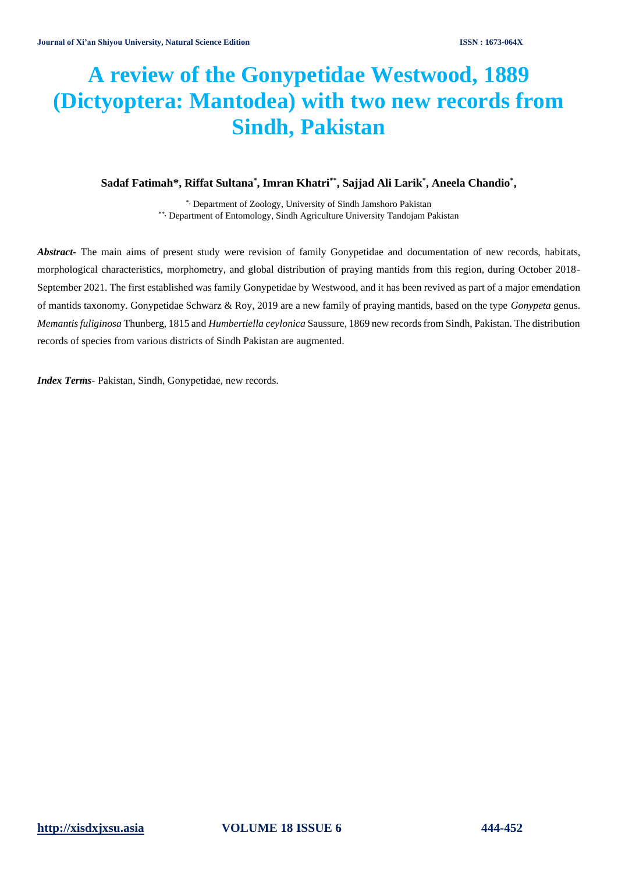# **A review of the Gonypetidae Westwood, 1889 (Dictyoptera: Mantodea) with two new records from Sindh, Pakistan**

# **Sadaf Fatimah\*, Riffat Sultana\* , Imran Khatri\*\*, Sajjad Ali Larik\* , Aneela Chandio\* ,**

\*, Department of Zoology, University of Sindh Jamshoro Pakistan \*\*, Department of Entomology, Sindh Agriculture University Tandojam Pakistan

*Abstract-* The main aims of present study were revision of family Gonypetidae and documentation of new records, habitats, morphological characteristics, morphometry, and global distribution of praying mantids from this region, during October 2018- September 2021. The first established was family Gonypetidae by Westwood, and it has been revived as part of a major emendation of mantids taxonomy. Gonypetidae Schwarz & Roy, 2019 are a new family of praying mantids, based on the type *Gonypeta* genus. *Memantis fuliginosa* Thunberg, 1815 and *Humbertiella ceylonica* Saussure, 1869 new records from Sindh, Pakistan. The distribution records of species from various districts of Sindh Pakistan are augmented.

*Index Terms*- Pakistan, Sindh, Gonypetidae, new records.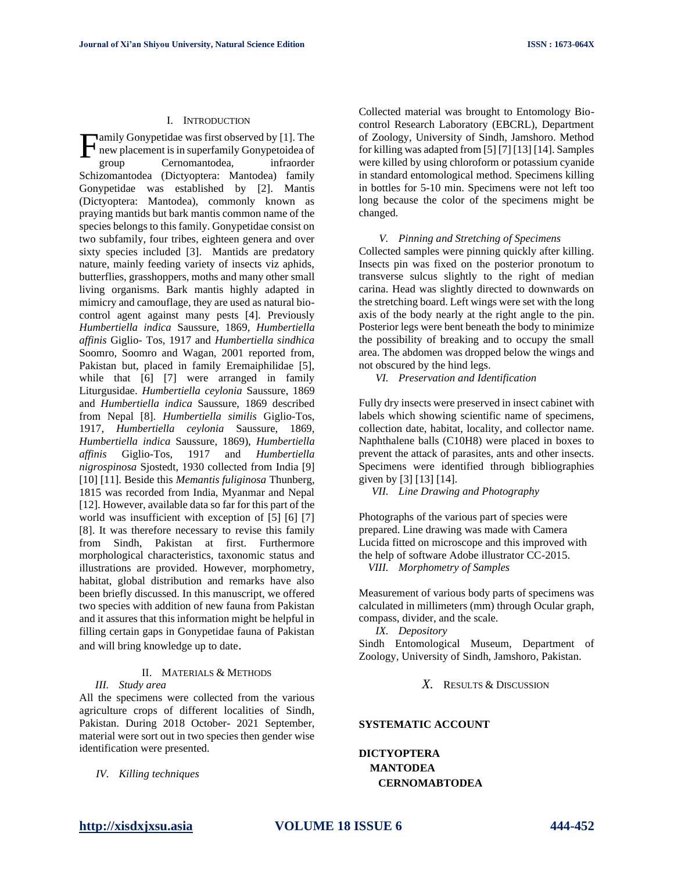#### I. INTRODUCTION

amily Gonypetidae was first observed by [1]. The new placement is in superfamily Gonypetoidea of group Cernomantodea, infraorder Schizomantodea (Dictyoptera: Mantodea) family Gonypetidae was established by [2]. Mantis (Dictyoptera: Mantodea), commonly known as praying mantids but bark mantis common name of the species belongs to this family. Gonypetidae consist on two subfamily, four tribes, eighteen genera and over sixty species included [3]. Mantids are predatory nature, mainly feeding variety of insects viz aphids, butterflies, grasshoppers, moths and many other small living organisms. Bark mantis highly adapted in mimicry and camouflage, they are used as natural biocontrol agent against many pests [4]. Previously *Humbertiella indica* Saussure, 1869, *Humbertiella affinis* Giglio- Tos, 1917 and *Humbertiella sindhica* Soomro, Soomro and Wagan, 2001 reported from, Pakistan but, placed in family Eremaiphilidae [5], while that [6] [7] were arranged in family Liturgusidae. *Humbertiella ceylonia* Saussure, 1869 and *Humbertiella indica* Saussure, 1869 described from Nepal [8]. *Humbertiella similis* Giglio-Tos, 1917, *Humbertiella ceylonia* Saussure, 1869, *Humbertiella indica* Saussure, 1869), *Humbertiella affinis* Giglio-Tos, 1917 and *Humbertiella nigrospinosa* Sjostedt, 1930 collected from India [9] [10] [11]. Beside this *Memantis fuliginosa* Thunberg, 1815 was recorded from India, Myanmar and Nepal [12]. However, available data so far for this part of the world was insufficient with exception of [5] [6] [7] [8]. It was therefore necessary to revise this family from Sindh, Pakistan at first. Furthermore morphological characteristics, taxonomic status and illustrations are provided. However, morphometry, habitat, global distribution and remarks have also been briefly discussed. In this manuscript, we offered two species with addition of new fauna from Pakistan and it assures that this information might be helpful in filling certain gaps in Gonypetidae fauna of Pakistan and will bring knowledge up to date. F

# II. MATERIALS & METHODS

#### *III. Study area*

All the specimens were collected from the various agriculture crops of different localities of Sindh, Pakistan. During 2018 October- 2021 September, material were sort out in two species then gender wise identification were presented.

*IV. Killing techniques* 

Collected material was brought to Entomology Biocontrol Research Laboratory (EBCRL), Department of Zoology, University of Sindh, Jamshoro. Method for killing was adapted from [5] [7] [13] [14]. Samples were killed by using chloroform or potassium cyanide in standard entomological method. Specimens killing in bottles for 5-10 min. Specimens were not left too long because the color of the specimens might be changed.

#### *V. Pinning and Stretching of Specimens*

Collected samples were pinning quickly after killing. Insects pin was fixed on the posterior pronotum to transverse sulcus slightly to the right of median carina. Head was slightly directed to downwards on the stretching board. Left wings were set with the long axis of the body nearly at the right angle to the pin. Posterior legs were bent beneath the body to minimize the possibility of breaking and to occupy the small area. The abdomen was dropped below the wings and not obscured by the hind legs.

*VI. Preservation and Identification*

Fully dry insects were preserved in insect cabinet with labels which showing scientific name of specimens, collection date, habitat, locality, and collector name. Naphthalene balls (C10H8) were placed in boxes to prevent the attack of parasites, ants and other insects. Specimens were identified through bibliographies given by [3] [13] [14].

*VII. Line Drawing and Photography*

Photographs of the various part of species were prepared. Line drawing was made with Camera Lucida fitted on microscope and this improved with the help of software Adobe illustrator CC-2015. *VIII. Morphometry of Samples*

Measurement of various body parts of specimens was calculated in millimeters (mm) through Ocular graph, compass, divider, and the scale.

*IX. Depository*

Sindh Entomological Museum, Department of Zoology, University of Sindh, Jamshoro, Pakistan.

*X.* RESULTS & DISCUSSION

### **SYSTEMATIC ACCOUNT**

# **DICTYOPTERA MANTODEA CERNOMABTODEA**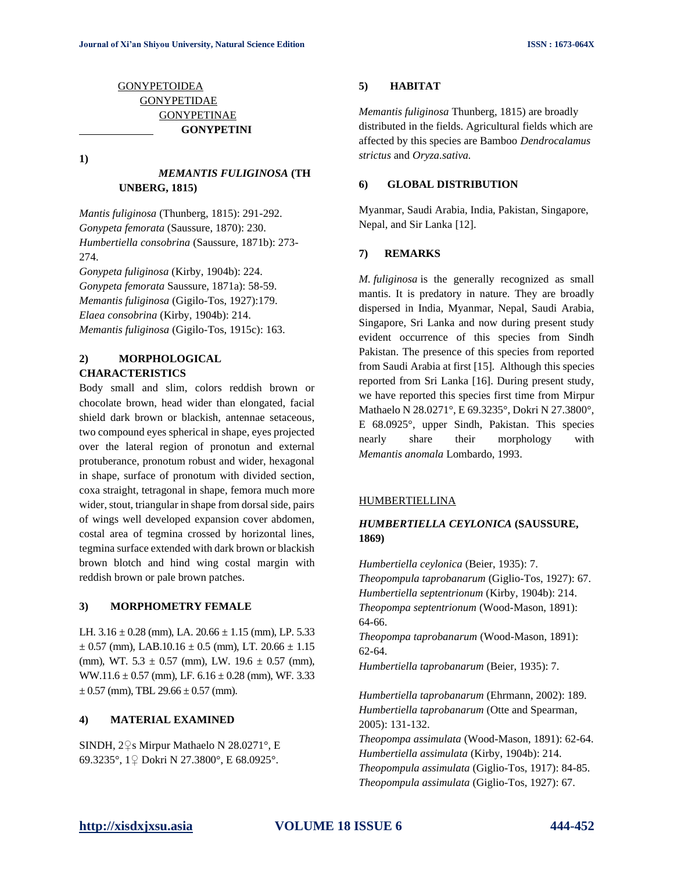# **[GONYPETOIDEA](http://mantodea.speciesfile.org/Common/basic/Taxa.aspx?TaxonNameID=1240294)** [GONYPETIDAE](http://mantodea.speciesfile.org/Common/basic/Taxa.aspx?TaxonNameID=1240158) [GONYPETINAE](http://mantodea.speciesfile.org/Common/basic/Taxa.aspx?TaxonNameID=1240163) **GONYPETINI**

**1)**

# *MEMANTIS FULIGINOSA* **(TH UNBERG, 1815)**

*Mantis fuliginosa* (Thunberg, 1815): 291-292. *Gonypeta femorata* (Saussure, 1870): 230. *Humbertiella consobrina* (Saussure, 1871b): 273- 274.

*Gonypeta fuliginosa* (Kirby, 1904b): 224. *Gonypeta femorata* Saussure, 1871a): 58-59. *Memantis fuliginosa* (Gigilo-Tos, 1927):179. *Elaea consobrina* (Kirby, 1904b): 214. *Memantis fuliginosa* (Gigilo-Tos, 1915c): 163.

# **2) MORPHOLOGICAL CHARACTERISTICS**

Body small and slim, colors reddish brown or chocolate brown, head wider than elongated, facial shield dark brown or blackish, antennae setaceous, two compound eyes spherical in shape, eyes projected over the lateral region of pronotun and external protuberance, pronotum robust and wider, hexagonal in shape, surface of pronotum with divided section, coxa straight, tetragonal in shape, femora much more wider, stout, triangular in shape from dorsal side, pairs of wings well developed expansion cover abdomen, costal area of tegmina crossed by horizontal lines, tegmina surface extended with dark brown or blackish brown blotch and hind wing costal margin with reddish brown or pale brown patches.

## **3) MORPHOMETRY FEMALE**

LH.  $3.16 \pm 0.28$  (mm), LA.  $20.66 \pm 1.15$  (mm), LP. 5.33  $\pm$  0.57 (mm), LAB.10.16  $\pm$  0.5 (mm), LT. 20.66  $\pm$  1.15 (mm), WT.  $5.3 \pm 0.57$  (mm), LW.  $19.6 \pm 0.57$  (mm), WW.11.6  $\pm$  0.57 (mm), LF. 6.16  $\pm$  0.28 (mm), WF. 3.33  $\pm$  0.57 (mm), TBL 29.66  $\pm$  0.57 (mm).

# **4) MATERIAL EXAMINED**

SINDH, 2♀s Mirpur Mathaelo N 28.0271°, E 69.3235°, 1♀ Dokri N 27.3800°, E 68.0925°.

# **5) HABITAT**

*Memantis fuliginosa* Thunberg, 1815) are broadly distributed in the fields. Agricultural fields which are affected by this species are Bamboo *Dendrocalamus strictus* and *Oryza.sativa.*

# **6) GLOBAL DISTRIBUTION**

Myanmar, Saudi Arabia, India, Pakistan, Singapore, Nepal, and Sir Lanka [12].

# **7) REMARKS**

*M. fuliginosa* is the generally recognized as small mantis. It is predatory in nature. They are broadly dispersed in India, Myanmar, Nepal, Saudi Arabia, Singapore, Sri Lanka and now during present study evident occurrence of this species from Sindh Pakistan. The presence of this species from reported from Saudi Arabia at first [15]. Although this species reported from Sri Lanka [16]. During present study, we have reported this species first time from Mirpur Mathaelo N 28.0271°, E 69.3235°, Dokri N 27.3800°, E 68.0925°, upper Sindh, Pakistan. This species nearly share their morphology with *Memantis anomala* Lombardo, 1993.

#### [HUMBERTIELLINA](http://mantodea.speciesfile.org/Common/basic/Taxa.aspx?TaxonNameID=1240168)

# *HUMBERTIELLA CEYLONICA* **(SAUSSURE, 1869)**

*Humbertiella ceylonica* (Beier, 1935): 7. *Theopompula taprobanarum* (Giglio-Tos, 1927): 67. *Humbertiella septentrionum* (Kirby, 1904b): 214. *Theopompa septentrionum* (Wood-Mason, 1891): 64-66.

*Theopompa taprobanarum* (Wood-Mason, 1891): 62-64.

*Humbertiella taprobanarum* (Beier, 1935): 7.

*Humbertiella taprobanarum* (Ehrmann, 2002): 189. *Humbertiella taprobanarum* (Otte and Spearman, 2005): 131-132.

*Theopompa assimulata* (Wood-Mason, 1891): 62-64. *Humbertiella assimulata* (Kirby, 1904b): 214. *Theopompula assimulata* (Giglio-Tos, 1917): 84-85. *Theopompula assimulata* (Giglio-Tos, 1927): 67.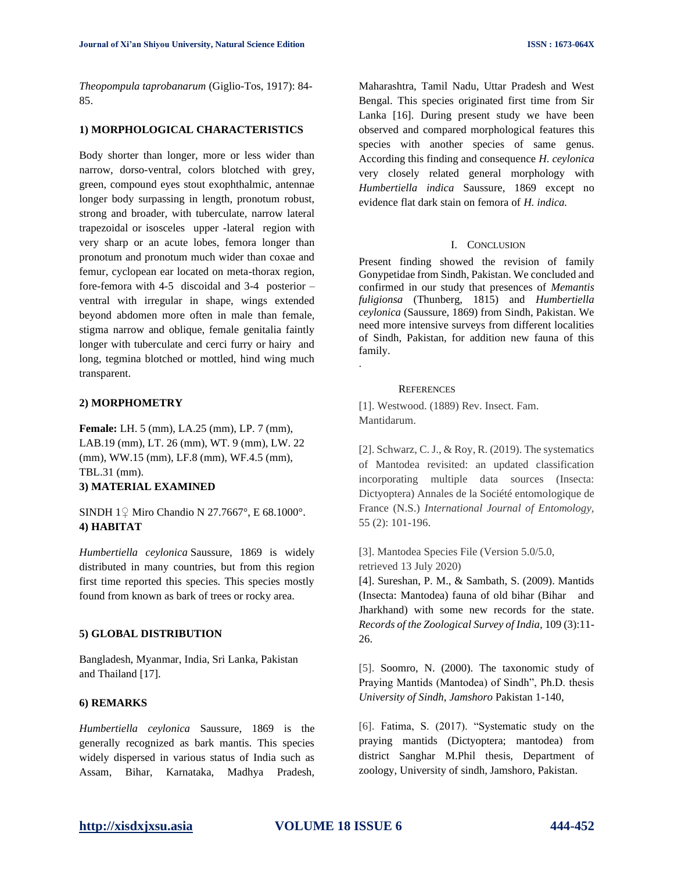*Theopompula taprobanarum* (Giglio-Tos, 1917): 84- 85.

## **1) MORPHOLOGICAL CHARACTERISTICS**

Body shorter than longer, more or less wider than narrow, dorso-ventral, colors blotched with grey, green, compound eyes stout exophthalmic, antennae longer body surpassing in length, pronotum robust, strong and broader, with tuberculate, narrow lateral trapezoidal or isosceles upper -lateral region with very sharp or an acute lobes, femora longer than pronotum and pronotum much wider than coxae and femur, cyclopean ear located on meta-thorax region, fore-femora with 4-5 discoidal and 3-4 posterior – ventral with irregular in shape, wings extended beyond abdomen more often in male than female, stigma narrow and oblique, female genitalia faintly longer with tuberculate and cerci furry or hairy and long, tegmina blotched or mottled, hind wing much transparent.

## **2) MORPHOMETRY**

**Female:** LH. 5 (mm), LA.25 (mm), LP. 7 (mm), LAB.19 (mm), LT. 26 (mm), WT. 9 (mm), LW. 22 (mm), WW.15 (mm), LF.8 (mm), WF.4.5 (mm), TBL.31 (mm). **3) MATERIAL EXAMINED**

SINDH 1♀ Miro Chandio N 27.7667°, E 68.1000°. **4) HABITAT**

*Humbertiella ceylonica* Saussure, 1869 is widely distributed in many countries, but from this region first time reported this species. This species mostly found from known as bark of trees or rocky area.

#### **5) GLOBAL DISTRIBUTION**

Bangladesh, Myanmar, India, Sri Lanka, Pakistan and Thailand [17].

## **6) REMARKS**

*Humbertiella ceylonica* Saussure, 1869 is the generally recognized as bark mantis. This species widely dispersed in various status of India such as Assam, Bihar, Karnataka, Madhya Pradesh,

Maharashtra, Tamil Nadu, Uttar Pradesh and West Bengal. This species originated first time from Sir Lanka [16]. During present study we have been observed and compared morphological features this species with another species of same genus. According this finding and consequence *H. ceylonica* very closely related general morphology with *Humbertiella indica* Saussure, 1869 except no evidence flat dark stain on femora of *H. indica.*

## I. CONCLUSION

Present finding showed the revision of family Gonypetidae from Sindh, Pakistan. We concluded and confirmed in our study that presences of *Memantis fuligionsa* (Thunberg, 1815) and *Humbertiella ceylonica* (Saussure, 1869) from Sindh, Pakistan. We need more intensive surveys from different localities of Sindh, Pakistan, for addition new fauna of this family.

#### **REFERENCES**

.

[1]. Westwood. (1889) Rev. Insect. Fam. Mantidarum.

[2]. Schwarz, C. J., & Roy, R. (2019). The systematics of Mantodea revisited: an updated classification incorporating multiple data sources (Insecta: Dictyoptera) Annales de la Société entomologique de France (N.S.) *International Journal of Entomology,*  55 (2): 101-196.

[3]. Mantodea Species File (Version 5.0/5.0, retrieved 13 July 2020)

[4]. Sureshan, P. M., & Sambath, S. (2009). Mantids (Insecta: Mantodea) fauna of old bihar (Bihar and Jharkhand) with some new records for the state. *Records of the Zoological Survey of India,* 109 (3):11- 26.

[5]. Soomro, N. (2000). The taxonomic study of Praying Mantids (Mantodea) of Sindh", Ph.D. thesis *University of Sindh*, *Jamshoro* Pakistan 1-140,

[6]. Fatima, S. (2017). "Systematic study on the praying mantids (Dictyoptera; mantodea) from district Sanghar M.Phil thesis, Department of zoology, University of sindh, Jamshoro, Pakistan.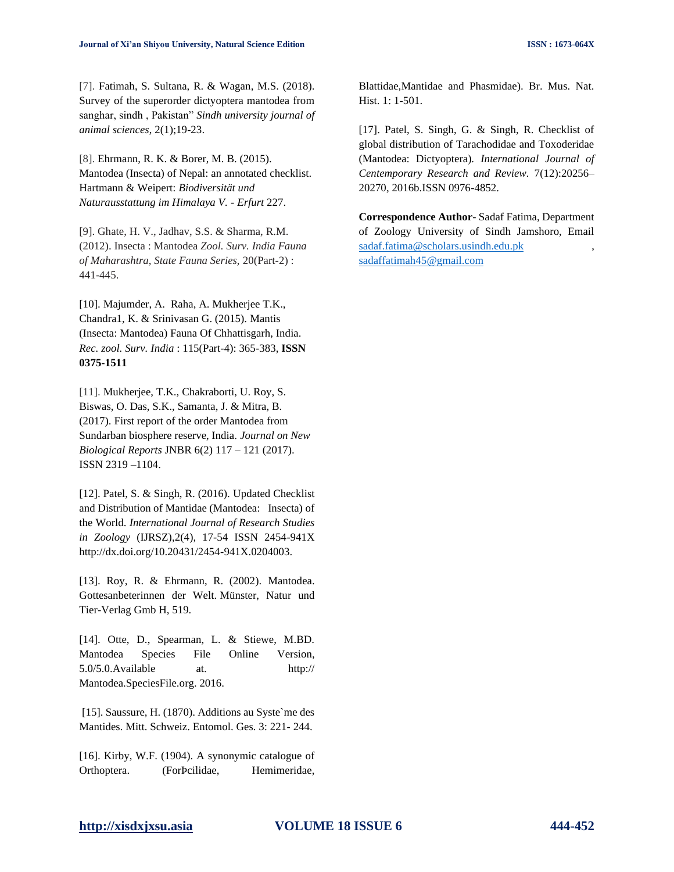[7]. Fatimah, S. Sultana, R. & Wagan, M.S. (2018). Survey of the superorder dictyoptera mantodea from sanghar, sindh , Pakistan" *Sindh university journal of animal sciences*, 2(1);19-23.

[8]. Ehrmann, R. K. & Borer, M. B. (2015). Mantodea (Insecta) of Nepal: an annotated checklist. Hartmann & Weipert: *Biodiversität und Naturausstattung im Himalaya V. - Erfurt* 227.

[9]. Ghate, H. V., Jadhav, S.S. & Sharma, R.M. (2012). Insecta : Mantodea *Zool. Surv. India Fauna of Maharashtra, State Fauna Series,* 20(Part-2) : 441-445.

[10]. Majumder, A. Raha, A. Mukherjee T.K., Chandra1, K. & Srinivasan G. (2015). Mantis (Insecta: Mantodea) Fauna Of Chhattisgarh, India. *Rec. zool. Surv. India* : 115(Part-4): 365-383, **ISSN 0375-1511**

[11]. Mukherjee, T.K., Chakraborti, U. Roy, S. Biswas, O. Das, S.K., Samanta, J. & Mitra, B. (2017). First report of the order Mantodea from Sundarban biosphere reserve, India. *Journal on New Biological Reports* JNBR 6(2) 117 – 121 (2017). ISSN 2319 –1104.

[12]. Patel, S. & Singh, R. (2016). Updated Checklist and Distribution of Mantidae (Mantodea: Insecta) of the World. *International Journal of Research Studies in Zoology* (IJRSZ),2(4), 17-54 ISSN 2454-941X http://dx.doi.org/10.20431/2454-941X.0204003.

[13]. Roy, R. & Ehrmann, R. (2002). Mantodea. Gottesanbeterinnen der Welt. Münster, Natur und Tier-Verlag Gmb H, 519.

[14]. Otte, D., Spearman, L. & Stiewe, M.BD. Mantodea Species File Online Version, 5.0/5.0.Available at. http:// Mantodea.SpeciesFile.org. 2016.

[15]. Saussure, H. (1870). Additions au Syste`me des Mantides. Mitt. Schweiz. Entomol. Ges. 3: 221- 244.

[16]. Kirby, W.F. (1904). A synonymic catalogue of Orthoptera. (ForÞcilidae, Hemimeridae,

Blattidae,Mantidae and Phasmidae). Br. Mus. Nat. Hist. 1: 1-501.

[17]. Patel, S. Singh, G. & Singh, R. Checklist of global distribution of Tarachodidae and Toxoderidae (Mantodea: Dictyoptera). *International Journal of Centemporary Research and Review.* 7(12):20256– 20270, 2016b.ISSN 0976-4852.

**Correspondence Author**- Sadaf Fatima, Department of Zoology University of Sindh Jamshoro, Email [sadaf.fatima@scholars.usindh.edu.pk](mailto:sadaf.fatima@scholars.usindh.edu.pk) , [sadaffatimah45@gmail.com](mailto:sadaffatimah45@gmail.com)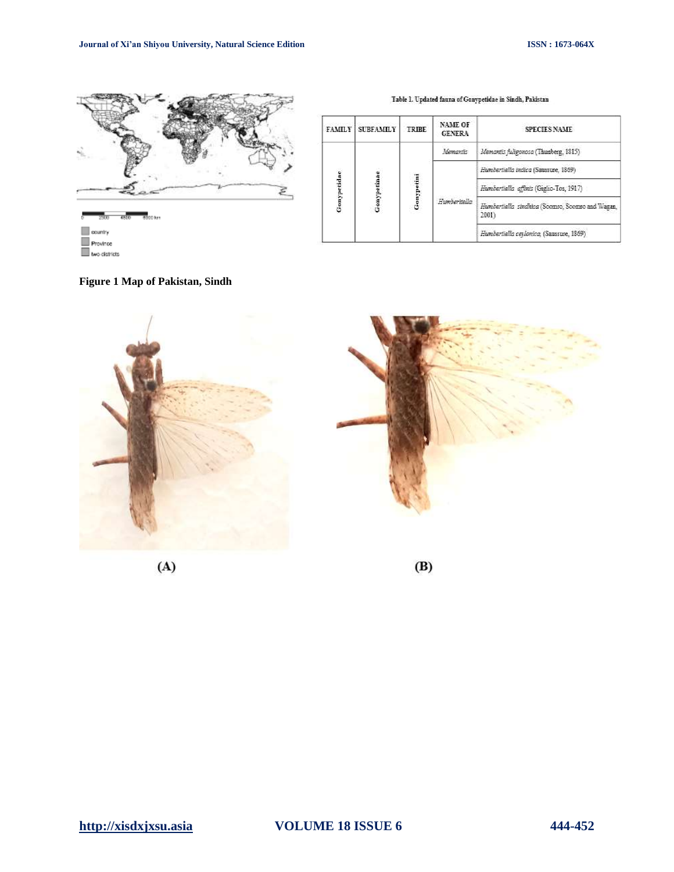

| <b>FAMILY</b> | <b>SUBFAMILY</b> | TRIBE     | <b>NAME OF</b><br><b>GENERA</b> | <b>SPECIES NAME</b>                                       |
|---------------|------------------|-----------|---------------------------------|-----------------------------------------------------------|
| Gonypetidae   | Gonypetinae      | Gonypetin | Memantis                        | Memantis fuligonosa (Thunberg, 1815)                      |
|               |                  |           | Humberitella                    | Humbertiella indica (Saussure, 1869)                      |
|               |                  |           |                                 | Humbertiella affinis (Giglio-Tos, 1917)                   |
|               |                  |           |                                 | Humbertiella sindhica (Scomro, Soomro and Wagan,<br>2001) |
|               |                  |           |                                 | Humbertiella ceylonica, (Saussure, 1869)                  |

#### Table 1. Updated fauna of Gonypetidae in Sindh, Pakistan

**Figure 1 Map of Pakistan, Sindh**

two districts







 $(B)$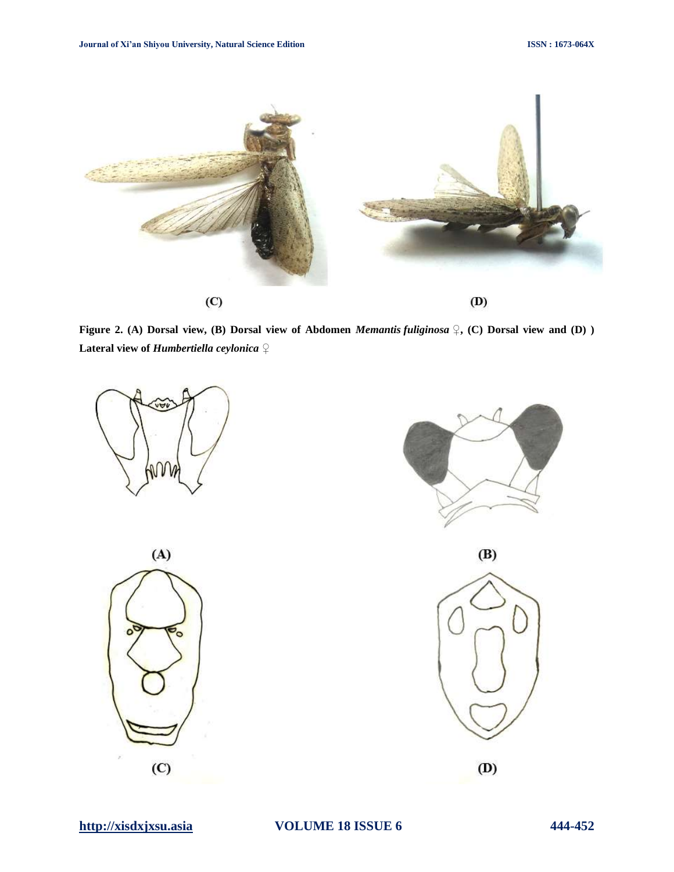

**Figure 2. (A) Dorsal view, (B) Dorsal view of Abdomen** *Memantis fuliginosa* **♀, (C) Dorsal view and (D) )** **Lateral view of** *Humbertiella ceylonica* **♀**







 $(B)$ 

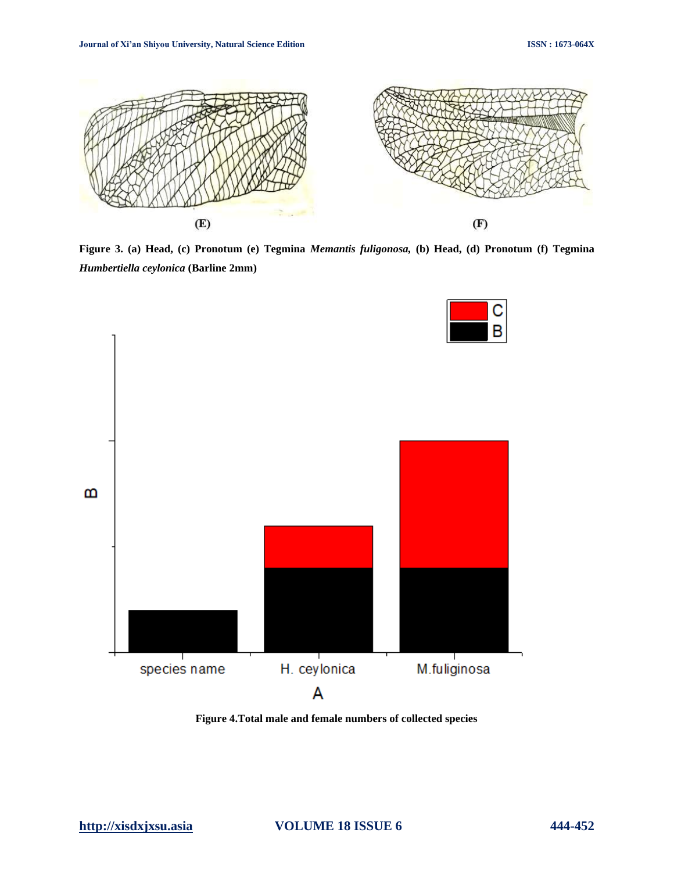

**Figure 3. (a) Head, (c) Pronotum (e) Tegmina** *Memantis fuligonosa,* **(b) Head, (d) Pronotum (f) Tegmina** *Humbertiella ceylonica* **(Barline 2mm)**



**Figure 4.Total male and female numbers of collected species**